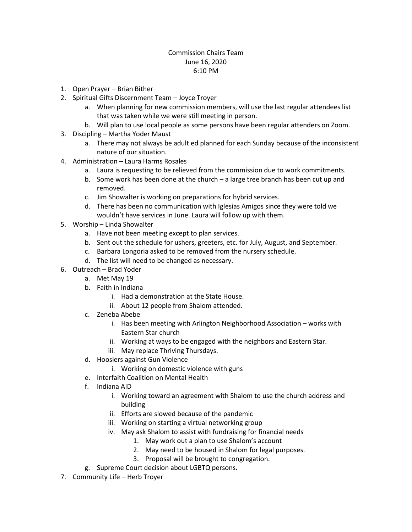## Commission Chairs Team June 16, 2020 6:10 PM

- 1. Open Prayer Brian Bither
- 2. Spiritual Gifts Discernment Team Joyce Troyer
	- a. When planning for new commission members, will use the last regular attendees list that was taken while we were still meeting in person.
	- b. Will plan to use local people as some persons have been regular attenders on Zoom.
- 3. Discipling Martha Yoder Maust
	- a. There may not always be adult ed planned for each Sunday because of the inconsistent nature of our situation.
- 4. Administration Laura Harms Rosales
	- a. Laura is requesting to be relieved from the commission due to work commitments.
	- b. Some work has been done at the church a large tree branch has been cut up and removed.
	- c. Jim Showalter is working on preparations for hybrid services.
	- d. There has been no communication with Iglesias Amigos since they were told we wouldn't have services in June. Laura will follow up with them.
- 5. Worship Linda Showalter
	- a. Have not been meeting except to plan services.
	- b. Sent out the schedule for ushers, greeters, etc. for July, August, and September.
	- c. Barbara Longoria asked to be removed from the nursery schedule.
	- d. The list will need to be changed as necessary.
- 6. Outreach Brad Yoder
	- a. Met May 19
	- b. Faith in Indiana
		- i. Had a demonstration at the State House.
		- ii. About 12 people from Shalom attended.
	- c. Zeneba Abebe
		- i. Has been meeting with Arlington Neighborhood Association works with Eastern Star church
		- ii. Working at ways to be engaged with the neighbors and Eastern Star.
		- iii. May replace Thriving Thursdays.
	- d. Hoosiers against Gun Violence
		- i. Working on domestic violence with guns
	- e. Interfaith Coalition on Mental Health
	- f. Indiana AID
		- i. Working toward an agreement with Shalom to use the church address and building
		- ii. Efforts are slowed because of the pandemic
		- iii. Working on starting a virtual networking group
		- iv. May ask Shalom to assist with fundraising for financial needs
			- 1. May work out a plan to use Shalom's account
			- 2. May need to be housed in Shalom for legal purposes.
			- 3. Proposal will be brought to congregation.
	- g. Supreme Court decision about LGBTQ persons.
- 7. Community Life Herb Troyer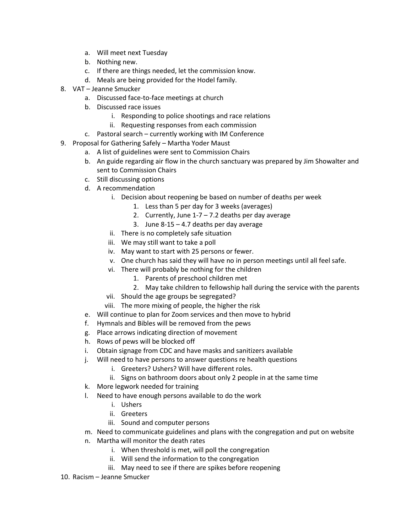- a. Will meet next Tuesday
- b. Nothing new.
- c. If there are things needed, let the commission know.
- d. Meals are being provided for the Hodel family.
- 8. VAT Jeanne Smucker
	- a. Discussed face-to-face meetings at church
	- b. Discussed race issues
		- i. Responding to police shootings and race relations
		- ii. Requesting responses from each commission
	- c. Pastoral search currently working with IM Conference
- 9. Proposal for Gathering Safely Martha Yoder Maust
	- a. A list of guidelines were sent to Commission Chairs
	- b. An guide regarding air flow in the church sanctuary was prepared by Jim Showalter and sent to Commission Chairs
	- c. Still discussing options
	- d. A recommendation
		- i. Decision about reopening be based on number of deaths per week
			- 1. Less than 5 per day for 3 weeks (averages)
			- 2. Currently, June  $1-7-7.2$  deaths per day average
			- 3. June  $8-15 4.7$  deaths per day average
		- ii. There is no completely safe situation
		- iii. We may still want to take a poll
		- iv. May want to start with 25 persons or fewer.
		- v. One church has said they will have no in person meetings until all feel safe.
		- vi. There will probably be nothing for the children
			- 1. Parents of preschool children met
			- 2. May take children to fellowship hall during the service with the parents
		- vii. Should the age groups be segregated?
		- viii. The more mixing of people, the higher the risk
	- e. Will continue to plan for Zoom services and then move to hybrid
	- f. Hymnals and Bibles will be removed from the pews
	- g. Place arrows indicating direction of movement
	- h. Rows of pews will be blocked off
	- i. Obtain signage from CDC and have masks and sanitizers available
	- j. Will need to have persons to answer questions re health questions
		- i. Greeters? Ushers? Will have different roles.
		- ii. Signs on bathroom doors about only 2 people in at the same time
	- k. More legwork needed for training
	- l. Need to have enough persons available to do the work
		- i. Ushers
		- ii. Greeters
		- iii. Sound and computer persons
	- m. Need to communicate guidelines and plans with the congregation and put on website
	- n. Martha will monitor the death rates
		- i. When threshold is met, will poll the congregation
		- ii. Will send the information to the congregation
		- iii. May need to see if there are spikes before reopening
- 10. Racism Jeanne Smucker